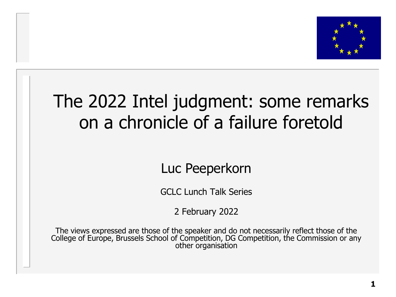

### The 2022 Intel judgment: some remarks on a chronicle of a failure foretold

Luc Peeperkorn

GCLC Lunch Talk Series

2 February 2022

The views expressed are those of the speaker and do not necessarily reflect those of the College of Europe, Brussels School of Competition, DG Competition, the Commission or any other organisation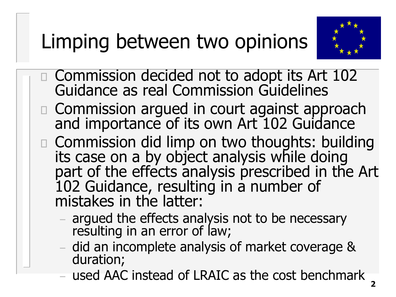## Limping between two opinions



□ Commission decided not to adopt its Art 102 Guidance as real Commission Guidelines

- □ Commission argued in court against approach and importance of its own Art 102 Guidance
- □ Commission did limp on two thoughts: building its case on a by object analysis while doing part of the effects analysis prescribed in the Art 102 Guidance, resulting in a number of mistakes in the latter:
	- argued the effects analysis not to be necessary resulting in an error of law;
	- did an incomplete analysis of market coverage & duration;
	- used AAC instead of LRAIC as the cost benchmark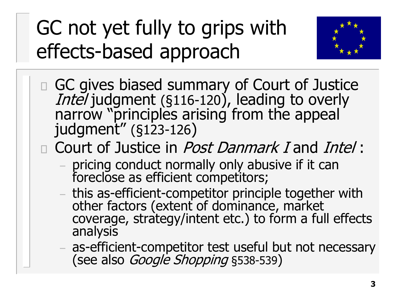## GC not yet fully to grips with effects-based approach



GC gives biased summary of Court of Justice Intel judgment (§116-120), leading to overly narrow "principles arising from the appeal judgment" (§123-126)

□ Court of Justice in *Post Danmark I* and *Intel* :

- pricing conduct normally only abusive if it can foreclose as efficient competitors;
- this as-efficient-competitor principle together with other factors (extent of dominance, market coverage, strategy/intent etc.) to form a full effects analysis
- as-efficient-competitor test useful but not necessary (see also Google Shopping §538-539)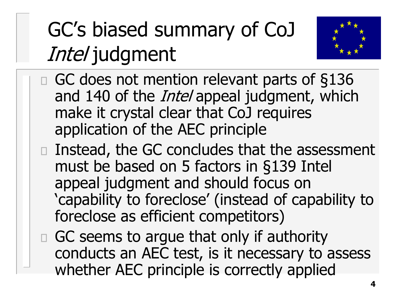# GC's biased summary of CoJ Intel judgment



- $\Box$  GC does not mention relevant parts of §136 and 140 of the *Intel* appeal judgment, which make it crystal clear that CoJ requires application of the AEC principle
- □ Instead, the GC concludes that the assessment must be based on 5 factors in §139 Intel appeal judgment and should focus on 'capability to foreclose' (instead of capability to foreclose as efficient competitors)
- □ GC seems to argue that only if authority conducts an AEC test, is it necessary to assess whether AEC principle is correctly applied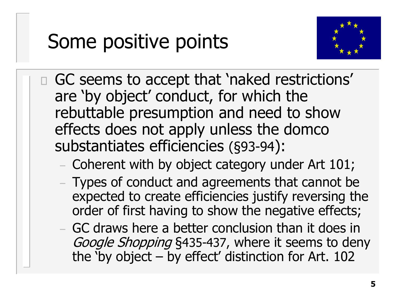

- GC seems to accept that 'naked restrictions' are 'by object' conduct, for which the rebuttable presumption and need to show effects does not apply unless the domco substantiates efficiencies (§93-94):
	- Coherent with by object category under Art 101;
	- Types of conduct and agreements that cannot be expected to create efficiencies justify reversing the order of first having to show the negative effects;
	- GC draws here a better conclusion than it does in Google Shopping §435-437, where it seems to deny the 'by object – by effect' distinction for Art. 102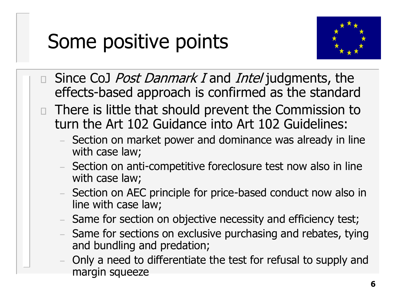## Some positive points



- Since CoJ *Post Danmark I* and *Intel* judgments, the effects-based approach is confirmed as the standard
- There is little that should prevent the Commission to turn the Art 102 Guidance into Art 102 Guidelines:
	- Section on market power and dominance was already in line with case law;
	- Section on anti-competitive foreclosure test now also in line with case law;
	- Section on AEC principle for price-based conduct now also in line with case law;
	- Same for section on objective necessity and efficiency test;
	- Same for sections on exclusive purchasing and rebates, tying and bundling and predation;
	- Only a need to differentiate the test for refusal to supply and margin squeeze